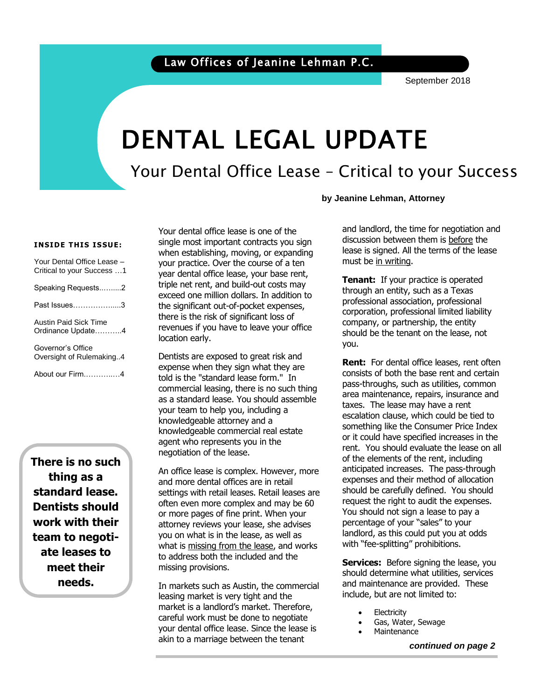### Law Offices of Jeanine Lehman P.C.

September 2018

# DENTAL LEGAL UPDATE

Your Dental Office Lease – Critical to your Success

**by Jeanine Lehman, Attorney**

#### **INSIDE THIS ISSUE:**

| Your Dental Office Lease -<br>Critical to your Success 1 |
|----------------------------------------------------------|
| Speaking Requests2                                       |
| Past Issues3                                             |
| Austin Paid Sick Time<br>Ordinance Update4               |
| Governor's Office<br>Oversight of Rulemaking4            |
| About our Firm4                                          |

**There is no such thing as a standard lease. Dentists should work with their team to negotiate leases to meet their needs.**

Your dental office lease is one of the single most important contracts you sign when establishing, moving, or expanding your practice. Over the course of a ten year dental office lease, your base rent, triple net rent, and build-out costs may exceed one million dollars. In addition to the significant out-of-pocket expenses, there is the risk of significant loss of revenues if you have to leave your office location early.

Dentists are exposed to great risk and expense when they sign what they are told is the "standard lease form." In commercial leasing, there is no such thing as a standard lease. You should assemble your team to help you, including a knowledgeable attorney and a knowledgeable commercial real estate agent who represents you in the negotiation of the lease.

An office lease is complex. However, more and more dental offices are in retail settings with retail leases. Retail leases are often even more complex and may be 60 or more pages of fine print. When your attorney reviews your lease, she advises you on what is in the lease, as well as what is missing from the lease, and works to address both the included and the missing provisions.

In markets such as Austin, the commercial leasing market is very tight and the market is a landlord's market. Therefore, careful work must be done to negotiate your dental office lease. Since the lease is akin to a marriage between the tenant

and landlord, the time for negotiation and discussion between them is before the lease is signed. All the terms of the lease must be in writing.

**Tenant:** If your practice is operated through an entity, such as a Texas professional association, professional corporation, professional limited liability company, or partnership, the entity should be the tenant on the lease, not you.

**Rent:** For dental office leases, rent often consists of both the base rent and certain pass-throughs, such as utilities, common area maintenance, repairs, insurance and taxes. The lease may have a rent escalation clause, which could be tied to something like the Consumer Price Index or it could have specified increases in the rent. You should evaluate the lease on all of the elements of the rent, including anticipated increases. The pass-through expenses and their method of allocation should be carefully defined. You should request the right to audit the expenses. You should not sign a lease to pay a percentage of your "sales" to your landlord, as this could put you at odds with "fee-splitting" prohibitions.

**Services:** Before signing the lease, you should determine what utilities, services and maintenance are provided. These include, but are not limited to:

- **Electricity**
- Gas, Water, Sewage
- **Maintenance**

*continued on page 2*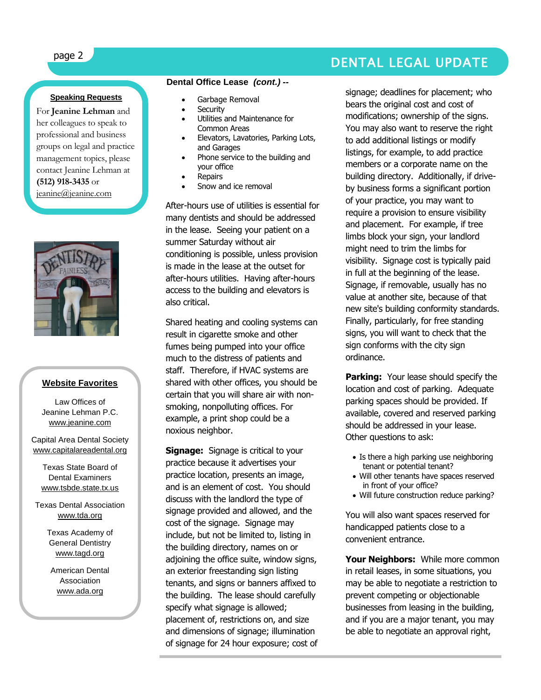## page 2 DENTAL LEGAL UPDATE

### **Speaking Requests**

For **Jeanine Lehman** and her colleagues to speak to professional and business groups on legal and practice management topics, please contact Jeanine Lehman at **(512) 918-3435** or [jeanine@jeanine.com](mailto:jeanine@jeanine.com)



ì

#### **Website Favorites**

Law Offices of Jeanine Lehman P.C. [www.jeanine.com](http://www.jeanine.com/)

Capital Area Dental Society [www.capitalareadental.org](http://www.capitalareadental.org/)

Texas State Board of Dental Examiners [www.tsbde.state.tx.us](http://www.tsbde.state.tx.us/)

Texas Dental Association [www.tda.org](http://www.tda.org/)

> Texas Academy of General Dentistry [www.tagd.org](http://www.tagd.org/)

American Dental Association [www.ada.org](http://www.ada.org/)

### **Dental Office Lease** *(cont.) --*

- Garbage Removal
- **Security**
- Utilities and Maintenance for Common Areas
- Elevators, Lavatories, Parking Lots, and Garages
- Phone service to the building and your office
- Repairs
- Snow and ice removal

After-hours use of utilities is essential for many dentists and should be addressed in the lease. Seeing your patient on a summer Saturday without air conditioning is possible, unless provision is made in the lease at the outset for after-hours utilities. Having after-hours access to the building and elevators is also critical.

Shared heating and cooling systems can result in cigarette smoke and other fumes being pumped into your office much to the distress of patients and staff. Therefore, if HVAC systems are shared with other offices, you should be certain that you will share air with nonsmoking, nonpolluting offices. For example, a print shop could be a noxious neighbor.

**Signage:** Signage is critical to your practice because it advertises your practice location, presents an image, and is an element of cost. You should discuss with the landlord the type of signage provided and allowed, and the cost of the signage. Signage may include, but not be limited to, listing in the building directory, names on or adjoining the office suite, window signs, an exterior freestanding sign listing tenants, and signs or banners affixed to the building. The lease should carefully specify what signage is allowed; placement of, restrictions on, and size and dimensions of signage; illumination of signage for 24 hour exposure; cost of signage; deadlines for placement; who bears the original cost and cost of modifications; ownership of the signs. You may also want to reserve the right to add additional listings or modify listings, for example, to add practice members or a corporate name on the building directory. Additionally, if driveby business forms a significant portion of your practice, you may want to require a provision to ensure visibility and placement. For example, if tree limbs block your sign, your landlord might need to trim the limbs for visibility. Signage cost is typically paid in full at the beginning of the lease. Signage, if removable, usually has no value at another site, because of that new site's building conformity standards. Finally, particularly, for free standing signs, you will want to check that the sign conforms with the city sign ordinance.

**Parking:** Your lease should specify the location and cost of parking. Adequate parking spaces should be provided. If available, covered and reserved parking should be addressed in your lease. Other questions to ask:

- Is there a high parking use neighboring tenant or potential tenant?
- Will other tenants have spaces reserved in front of your office?
- Will future construction reduce parking?

You will also want spaces reserved for handicapped patients close to a convenient entrance.

**Your Neighbors:** While more common in retail leases, in some situations, you may be able to negotiate a restriction to prevent competing or objectionable businesses from leasing in the building, and if you are a major tenant, you may be able to negotiate an approval right,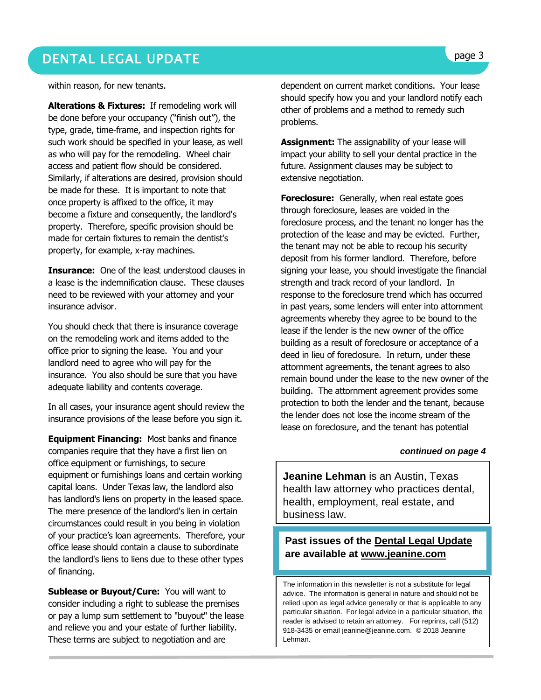### DENTAL LEGAL UPDATE **page 3**

within reason, for new tenants.

**Alterations & Fixtures:** If remodeling work will be done before your occupancy ("finish out"), the type, grade, time-frame, and inspection rights for such work should be specified in your lease, as well as who will pay for the remodeling. Wheel chair access and patient flow should be considered. Similarly, if alterations are desired, provision should be made for these. It is important to note that once property is affixed to the office, it may become a fixture and consequently, the landlord's property. Therefore, specific provision should be made for certain fixtures to remain the dentist's property, for example, x-ray machines.

**Insurance:** One of the least understood clauses in a lease is the indemnification clause. These clauses need to be reviewed with your attorney and your insurance advisor.

You should check that there is insurance coverage on the remodeling work and items added to the office prior to signing the lease. You and your landlord need to agree who will pay for the insurance. You also should be sure that you have adequate liability and contents coverage.

In all cases, your insurance agent should review the insurance provisions of the lease before you sign it.

**Equipment Financing:** Most banks and finance companies require that they have a first lien on office equipment or furnishings, to secure equipment or furnishings loans and certain working capital loans. Under Texas law, the landlord also has landlord's liens on property in the leased space. The mere presence of the landlord's lien in certain circumstances could result in you being in violation of your practice's loan agreements. Therefore, your office lease should contain a clause to subordinate the landlord's liens to liens due to these other types of financing.

**Sublease or Buyout/Cure:** You will want to consider including a right to sublease the premises or pay a lump sum settlement to "buyout" the lease and relieve you and your estate of further liability. These terms are subject to negotiation and are

dependent on current market conditions. Your lease should specify how you and your landlord notify each other of problems and a method to remedy such problems.

**Assignment:** The assignability of your lease will impact your ability to sell your dental practice in the future. Assignment clauses may be subject to extensive negotiation.

**Foreclosure:** Generally, when real estate goes through foreclosure, leases are voided in the foreclosure process, and the tenant no longer has the protection of the lease and may be evicted. Further, the tenant may not be able to recoup his security deposit from his former landlord. Therefore, before signing your lease, you should investigate the financial strength and track record of your landlord. In response to the foreclosure trend which has occurred in past years, some lenders will enter into attornment agreements whereby they agree to be bound to the lease if the lender is the new owner of the office building as a result of foreclosure or acceptance of a deed in lieu of foreclosure. In return, under these attornment agreements, the tenant agrees to also remain bound under the lease to the new owner of the building. The attornment agreement provides some protection to both the lender and the tenant, because the lender does not lose the income stream of the lease on foreclosure, and the tenant has potential

#### *continued on page 4*

**Jeanine Lehman** is an Austin, Texas health law attorney who practices dental, health, employment, real estate, and business law.

### **Past issues of the Dental Legal Update are available at [www.jeanine.com](http://www.jeanine.com/)**

The information in this newsletter is not a substitute for legal advice. The information is general in nature and should not be relied upon as legal advice generally or that is applicable to any particular situation. For legal advice in a particular situation, the reader is advised to retain an attorney. For reprints, call (512) 918-3435 or email [jeanine@jeanine.com.](mailto:jeanine@jeanine.com) © 2018 Jeanine Lehman.